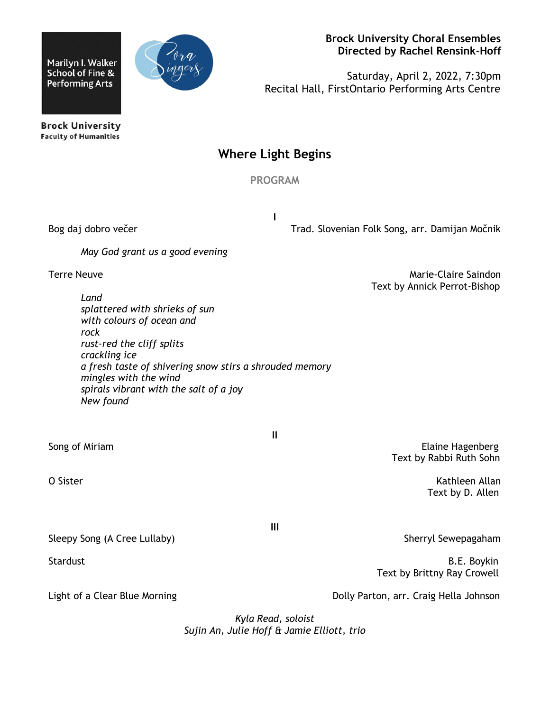Marilyn I. Walker School of Fine & **Performing Arts** 



 **Brock University Choral Ensembles Directed by Rachel Rensink-Hoff**

Saturday, April 2, 2022, 7:30pm Recital Hall, FirstOntario Performing Arts Centre

**Brock University Faculty of Humanities** 

## **Where Light Begins**

**PROGRAM**

**I**

Bog daj dobro večerTrad. Slovenian Folk Song, arr. Damijan Močnik

*May God grant us a good evening*

Terre Neuve **Marie-Claire Saindon** Text by Annick Perrot-Bishop

*Land splattered with shrieks of sun with colours of ocean and rock rust-red the cliff splits crackling ice a fresh taste of shivering snow stirs a shrouded memory mingles with the wind spirals vibrant with the salt of a joy New found*

Sleepy Song (A Cree Lullaby) Sherryl Sewepagaham

Light of a Clear Blue Morning The Communication of a Clear Blue Morning Dolly Parton, arr. Craig Hella Johnson

Song of Miriam **Elaine Hagenberg** Song of Miriam **Elaine Hagenberg** Text by Rabbi Ruth Sohn

O Sister Kathleen Allan (1999) and the Control of the Control of the Control of the Control of the Control of the Control of the Control of the Control of the Control of the Control of the Control of the Control of the Con Text by D. Allen

Stardust **B.E. Boykin** Text by Brittny Ray Crowell

*Kyla Read, soloist*

*Sujin An, Julie Hoff & Jamie Elliott, trio*

**II**

**III**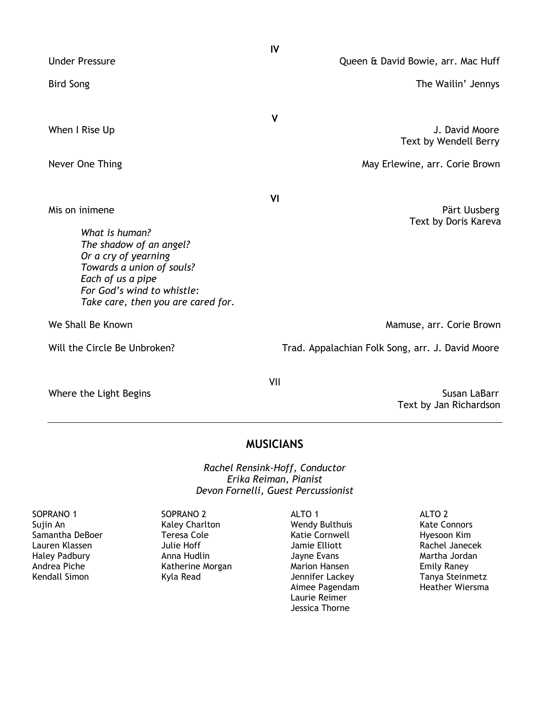|                                                                                                                                                                                                           | IV                                                                                        |
|-----------------------------------------------------------------------------------------------------------------------------------------------------------------------------------------------------------|-------------------------------------------------------------------------------------------|
| <b>Under Pressure</b>                                                                                                                                                                                     | Queen & David Bowie, arr. Mac Huff                                                        |
| <b>Bird Song</b>                                                                                                                                                                                          | The Wailin' Jennys                                                                        |
| When I Rise Up<br>Never One Thing                                                                                                                                                                         | $\mathsf{V}$<br>J. David Moore<br>Text by Wendell Berry<br>May Erlewine, arr. Corie Brown |
| Mis on inimene<br>What is human?<br>The shadow of an angel?<br>Or a cry of yearning<br>Towards a union of souls?<br>Each of us a pipe<br>For God's wind to whistle:<br>Take care, then you are cared for. | VI<br>Pärt Uusberg<br>Text by Doris Kareva                                                |
| We Shall Be Known                                                                                                                                                                                         | Mamuse, arr. Corie Brown                                                                  |
| Will the Circle Be Unbroken?                                                                                                                                                                              | Trad. Appalachian Folk Song, arr. J. David Moore                                          |
| Where the Light Begins                                                                                                                                                                                    | VII<br>Susan LaBarr                                                                       |

Text by Jan Richardson

## **MUSICIANS**

*Rachel Rensink-Hoff, Conductor Erika Reiman, Pianist Devon Fornelli, Guest Percussionist*

SOPRANO 1 Sujin An Samantha DeBoer Lauren Klassen Haley Padbury Andrea Piche Kendall Simon

SOPRANO 2 Kaley Charlton Teresa Cole Julie Hoff Anna Hudlin Katherine Morgan Kyla Read

ALTO 1 Wendy Bulthuis Katie Cornwell Jamie Elliott Jayne Evans Marion Hansen Jennifer Lackey Aimee Pagendam Laurie Reimer Jessica Thorne

ALTO 2 Kate Connors Hyesoon Kim Rachel Janecek Martha Jordan Emily Raney Tanya Steinmetz Heather Wiersma